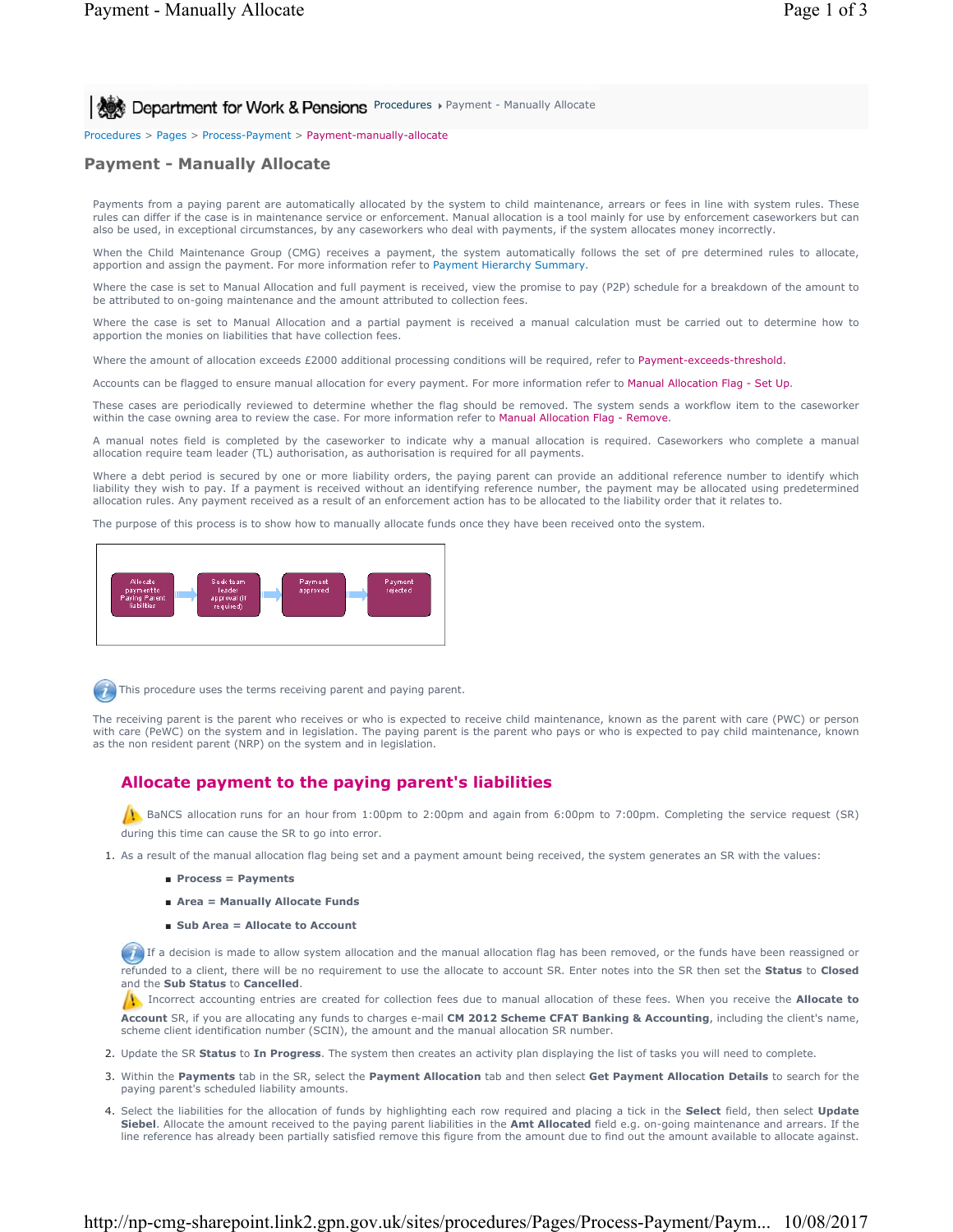**All Act Department for Work & Pensions** Procedures > Payment - Manually Allocate

Procedures > Pages > Process-Payment > Payment-manually-allocate

# **Payment - Manually Allocate**

Payments from a paying parent are automatically allocated by the system to child maintenance, arrears or fees in line with system rules. These rules can differ if the case is in maintenance service or enforcement. Manual allocation is a tool mainly for use by enforcement caseworkers but can also be used, in exceptional circumstances, by any caseworkers who deal with payments, if the system allocates money incorrectly.

When the Child Maintenance Group (CMG) receives a payment, the system automatically follows the set of pre determined rules to allocate, apportion and assign the payment. For more information refer to Payment Hierarchy Summary.

Where the case is set to Manual Allocation and full payment is received, view the promise to pay (P2P) schedule for a breakdown of the amount to be attributed to on-going maintenance and the amount attributed to collection fees.

Where the case is set to Manual Allocation and a partial payment is received a manual calculation must be carried out to determine how to apportion the monies on liabilities that have collection fees.

Where the amount of allocation exceeds £2000 additional processing conditions will be required, refer to Payment-exceeds-threshold.

Accounts can be flagged to ensure manual allocation for every payment. For more information refer to Manual Allocation Flag - Set Up.

These cases are periodically reviewed to determine whether the flag should be removed. The system sends a workflow item to the caseworker within the case owning area to review the case. For more information refer to Manual Allocation Flag - Remove.

A manual notes field is completed by the caseworker to indicate why a manual allocation is required. Caseworkers who complete a manual allocation require team leader (TL) authorisation, as authorisation is required for all payments.

Where a debt period is secured by one or more liability orders, the paying parent can provide an additional reference number to identify which liability they wish to pay. If a payment is received without an identifying reference number, the payment may be allocated using predetermined allocation rules. Any payment received as a result of an enforcement action has to be allocated to the liability order that it relates to.

The purpose of this process is to show how to manually allocate funds once they have been received onto the system.





This procedure uses the terms receiving parent and paying parent.

The receiving parent is the parent who receives or who is expected to receive child maintenance, known as the parent with care (PWC) or person with care (PeWC) on the system and in legislation. The paying parent is the parent who pays or who is expected to pay child maintenance, known as the non resident parent (NRP) on the system and in legislation.

# **Allocate payment to the paying parent's liabilities**

**BaNCS** allocation runs for an hour from 1:00pm to 2:00pm and again from 6:00pm to 7:00pm. Completing the service request (SR) during this time can cause the SR to go into error.

- 1. As a result of the manual allocation flag being set and a payment amount being received, the system generates an SR with the values:
	- **Process = Payments**
	- **Area = Manually Allocate Funds**
	- **Sub Area = Allocate to Account**

If a decision is made to allow system allocation and the manual allocation flag has been removed, or the funds have been reassigned or refunded to a client, there will be no requirement to use the allocate to account SR. Enter notes into the SR then set the **Status** to **Closed** and the **Sub Status** to **Cancelled**.

Incorrect accounting entries are created for collection fees due to manual allocation of these fees. When you receive the **Allocate to Account** SR, if you are allocating any funds to charges e-mail **CM 2012 Scheme CFAT Banking & Accounting**, including the client's name, scheme client identification number (SCIN), the amount and the manual allocation SR number.

- 2. Update the SR **Status** to **In Progress**. The system then creates an activity plan displaying the list of tasks you will need to complete.
- 3. Within the Payments tab in the SR, select the Payment Allocation tab and then select Get Payment Allocation Details to search for the paying parent's scheduled liability amounts.
- Select the liabilities for the allocation of funds by highlighting each row required and placing a tick in the **Select** field, then select **Update** 4. **Siebel**. Allocate the amount received to the paying parent liabilities in the **Amt Allocated** field e.g. on-going maintenance and arrears. If the line reference has already been partially satisfied remove this figure from the amount due to find out the amount available to allocate against.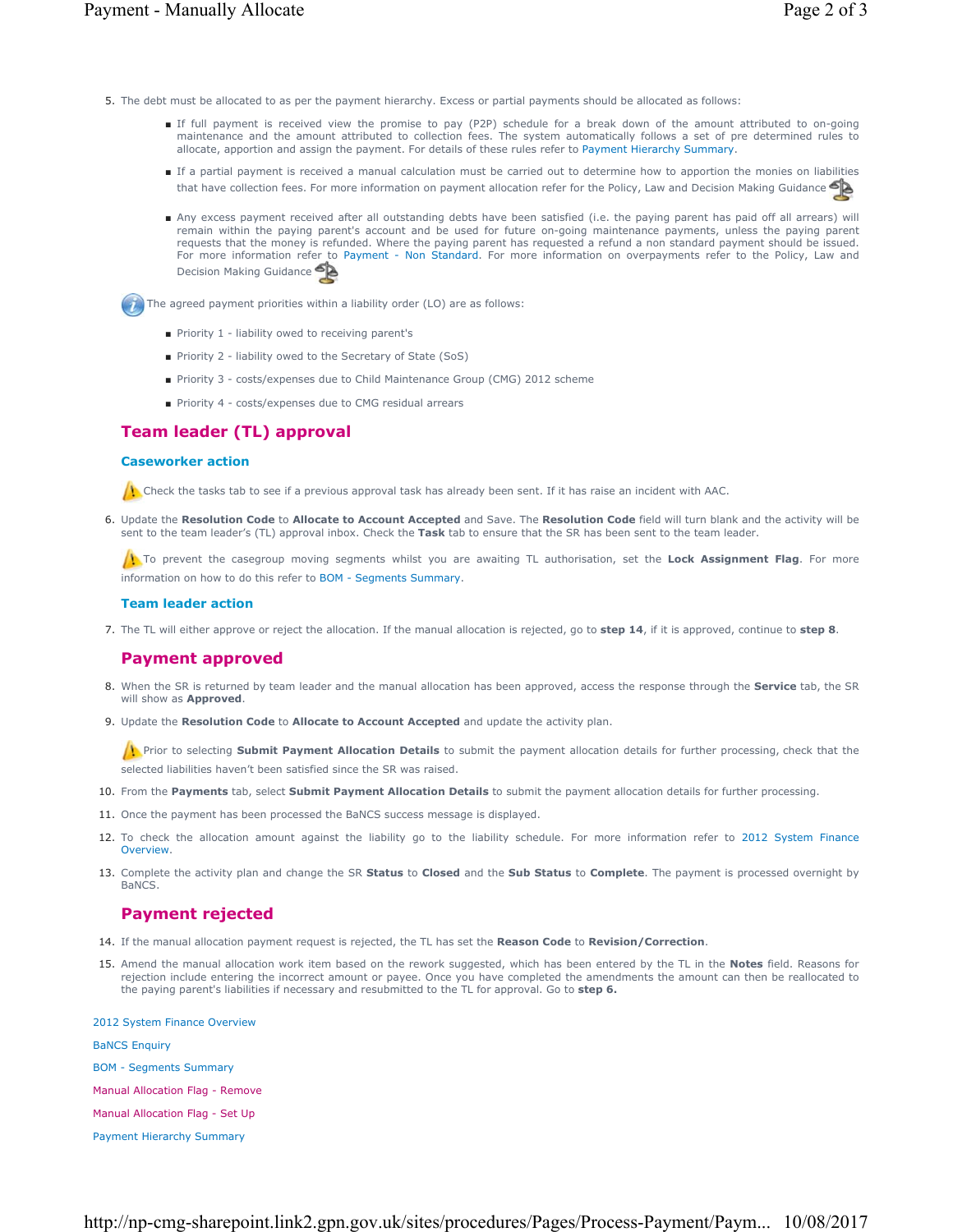- 5. The debt must be allocated to as per the payment hierarchy. Excess or partial payments should be allocated as follows:
	- If full payment is received view the promise to pay (P2P) schedule for a break down of the amount attributed to on-going maintenance and the amount attributed to collection fees. The system automatically follows a set of pre determined rules to allocate, apportion and assign the payment. For details of these rules refer to Payment Hierarchy Summary.
	- If a partial payment is received a manual calculation must be carried out to determine how to apportion the monies on liabilities that have collection fees. For more information on payment allocation refer for the Policy, Law and Decision Making Guidance
	- Any excess payment received after all outstanding debts have been satisfied (i.e. the paying parent has paid off all arrears) will remain within the paying parent's account and be used for future on-going maintenance payments, unless the paying parent requests that the money is refunded. Where the paying parent has requested a refund a non standard payment should be issued. For more information refer to Payment - Non Standard. For more information on overpayments refer to the Policy, Law and Decision Making Guidance

**The agreed payment priorities within a liability order (LO) are as follows:** 

- Priority 1 liability owed to receiving parent's
- Priority 2 liability owed to the Secretary of State (SoS)
- Priority 3 costs/expenses due to Child Maintenance Group (CMG) 2012 scheme
- Priority 4 costs/expenses due to CMG residual arrears

## **Team leader (TL) approval**

### **Caseworker action**

Check the tasks tab to see if a previous approval task has already been sent. If it has raise an incident with AAC.

6. Update the Resolution Code to Allocate to Account Accepted and Save. The Resolution Code field will turn blank and the activity will be sent to the team leader's (TL) approval inbox. Check the **Task** tab to ensure that the SR has been sent to the team leader.

To prevent the casegroup moving segments whilst you are awaiting TL authorisation, set the Lock Assignment Flag. For more information on how to do this refer to BOM - Segments Summary.

### **Team leader action**

7. The TL will either approve or reject the allocation. If the manual allocation is rejected, go to **step 14**, if it is approved, continue to **step 8**.

### **Payment approved**

- 8. When the SR is returned by team leader and the manual allocation has been approved, access the response through the **Service** tab, the SR will show as **Approved**.
- **9.** Update the Resolution Code to Allocate to Account Accepted and update the activity plan.

Prior to selecting **Submit Payment Allocation Details** to submit the payment allocation details for further processing, check that the selected liabilities haven't been satisfied since the SR was raised.

- 10. From the **Payments** tab, select **Submit Payment Allocation Details** to submit the payment allocation details for further processing.
- 11. Once the payment has been processed the BaNCS success message is displayed.
- 12. To check the allocation amount against the liability go to the liability schedule. For more information refer to 2012 System Finance Overview.
- 13. Complete the activity plan and change the SR **Status** to Closed and the Sub Status to Complete. The payment is processed overnight by BaNCS.

### **Payment rejected**

- 14. If the manual allocation payment request is rejected, the TL has set the **Reason Code** to **Revision/Correction**.
- 15. Amend the manual allocation work item based on the rework suggested, which has been entered by the TL in the Notes field. Reasons for rejection include entering the incorrect amount or payee. Once you have completed the amendments the amount can then be reallocated to the paying parent's liabilities if necessary and resubmitted to the TL for approval. Go to **step 6.**

#### 2012 System Finance Overview

BaNCS Enquiry

- BOM Segments Summary
- Manual Allocation Flag Remove
- Manual Allocation Flag Set Up
- Payment Hierarchy Summary